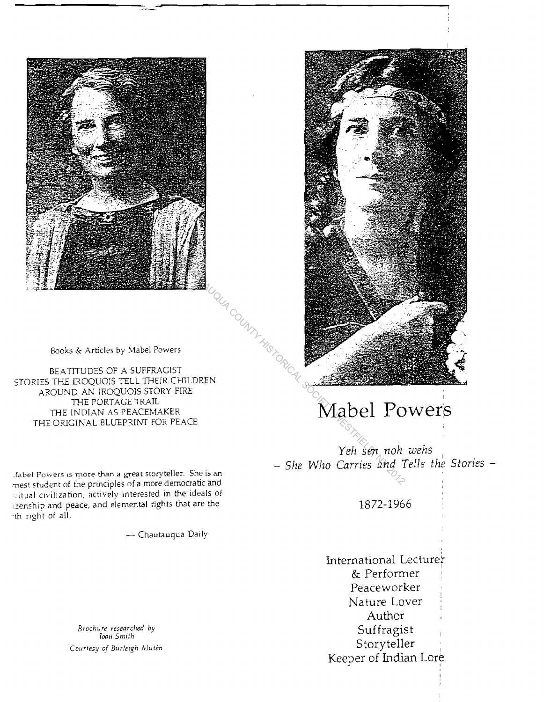



BEATITUDES OF A SUFFRAG1ST STORIES THE IROQUOIS TELL THEIR CHILDREN AROUND AN IROQUOIS STORY FIRE THE PORTAGE TRAIL THE INDIAN AS PEACEMAKER THE ORIGINAL BLUEPRINT FOR PEACE

-flabel Powers is more than a great storyteller. She is an mest student of the principles of a more democratic and -ritual civilization, actively interested in the ideals of izenship and peace, and elemental rights that are the -th fight of all.

Chautauqua Daily

*Brochure researched* by *Joan Smllh Courtesy of BUrielg/: MutbI*



# **Mabel Powers**

 $Yeh$  *sen* noh *wehs - She Who Carries and Tells the Stories -*

1872-1966

International Lecturer & Performer Peaceworker Nature Lover Author Suffragist Storyteller Keeper of Indian Lore ,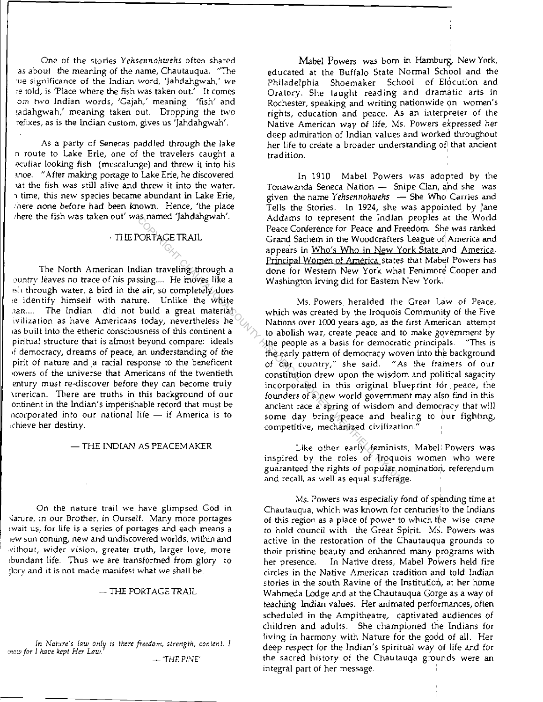One of the stories *Yehsennohwehs* often shared 'as about the meaning of the name, Chautauqua. "The 'ue significance of the Indian word, 'Jahdahgwah,' we re told, is 'Place where the fish was taken out.' It comes **Om hYo Indian words,** 'Gajah,' **meaning Ifish' and** :adahgwah: meaning taken out. Dropping the two refixes, as is the Indian custom, gives us 'Jahdahgwah'.

As a party of Senecas paddled through the lake n route to Lake Erie, one of the travelers caught a eculiar looking fish (muscalunge) and threw it into his moe. "After making portage to Lake Erie, he discovered tat the fish was still alive and threw it into the water. 1 time, this new species became abundant in Lake Erie, :here none before had been known. Hence, 'the place ;here the fish was taken out' was named 'Jahdahgwah'.

## $-$  THE PORTAGE TRAIL

The North American Indian traveling through a ountry leaves no trace of his passing.... He moves like a 'sh through water, a bird in the air, so completely does ,e identify himself with nature. Unlike the white .1an.... The indian did not build a great material **iviliza rion as have Americans today, nevertheless he las bull t into the etheric consciousness of this continent a** piritual structure that is almost beyond compare: ideals ,f democracy, dreams of peace, an understanding of the pirit of nature and a racial response to the beneficent 'owers of the universe that Americans of the twentieth entury must re-discover before they can become truly \merican. There are truths in this background of our ontinent in the Indian's imperishable record that must be ncorporated into our national life  $-$  if America is to .chieve her destiny.

#### - THE INDIAN AS PEACEMAKER

On the nature trail we have glimpsed God in Vature, in our Brother, in Ourself. Many more portages **lwait us, for life is a series of portages and each means a** lew sun coming, new and undiscovered worlds, within and **,v"ithout, wider vision, greater truth, larger love, more** Ibundant life. Thus we are transformed from glory to ,**'lorv**. **and it is not made manifest what we shall be.**

#### $-$  THE PORTAGE TRAIL

- 'THE PINE' In Nature's law only is there freedom, strength, content. I *:ncw for* **1}un.',** *kept Her* **uU'.'**

Mabel Powers was born in Hamburg, New York, educated at the Buffalo State Normal School and the Philadelphia Shoemaker School of Elocution and Oratory. She taught reading and dramatic arts in Rochester, speaking and writing nationwide on women's rights, education and peace. As an interpreter of the Native American way of life, Ms. Powers expressed her deep admiration of Indian values and worked throughout her life to create a broader understanding of that ancient **tradition, <sup>I</sup>**

In 1910 Mabel Powers was adopted by the Tonawanda Seneca Nation - Snipe Clan, and she was given the name *Yehsennohwehs* - She Who Carries and Tells the Stories. In 1924, she was appointed by Jane Addams to represent the Indian peoples at the World Peace Conference for Peace and Freedom. She was ranked Grand Sachem in the Woodcrafters League of:America and appears in Who's Who in New York State and Amerjca. Principal Women at America states that Mabel Powers has done for Western New York what Fenimore Cooper and Washington Irving did for Eastern New York.'

Ms. Powers. heralded the Great Law of Peace. which was created by the Iroquois Community of the Five **Nations over !()(X) years ago, as the first American attempt** to abolish war, create peace and to make government by<br>the people as a basis for democratic principals. This is **the** people as a basis for democratic principals. the early pattern of democracy woven into the background **of** *OUI* **country." she said. "As the framers of** *OUI* constitution drew upon the wisdom and political sagacity **incorporated in this original blueprint fdr. peace, the** founders of a new world government may also find in this **ancient race a spring of wisdom and** *democracy* **that will** some day bring peace and healing to our fighting, **competitive, mechanized civilization."** Counter particle particle in the multiple (NYTAGE TRAIL Franch States) are the moderator of America states and Franch Contributed the whole change of the moves like a washington of America states in the Word Society Advent

Like other early feminists, Mabel: Powers was inspired by the roles of Iroquois women who were guaranteed the rights of popular nomination, referendum **and recall, as well as equal sufferage.**

I

Ms. Powers was especially fond of spending time at Chautauqua, which was known for centuries'to the Indians of this region as a place of power to which the wise came to hold council with the Great Spirit. Ms. Powers was active in the restoration of the Chautauqya grounds to their pristine beauty and enhanced many programs with her presence. In Native dress, Mabel Powers held fire circles in the Native American tradition and told Indian stories in the south Ravine of the Institution, at her home Wahmeda Lodge and at the Chautauqua Gorge as a way of teaching Indian values. Her animated performances, often scheduled in the Ampitheatre, captivated audiences of children and adults. She championed the Indians for living in harmony with Nature for the good of all. Her deep respect for the Indian's spiritual way ,of life and for the sacred history of the Chautauqa grounds were an integral part of her message.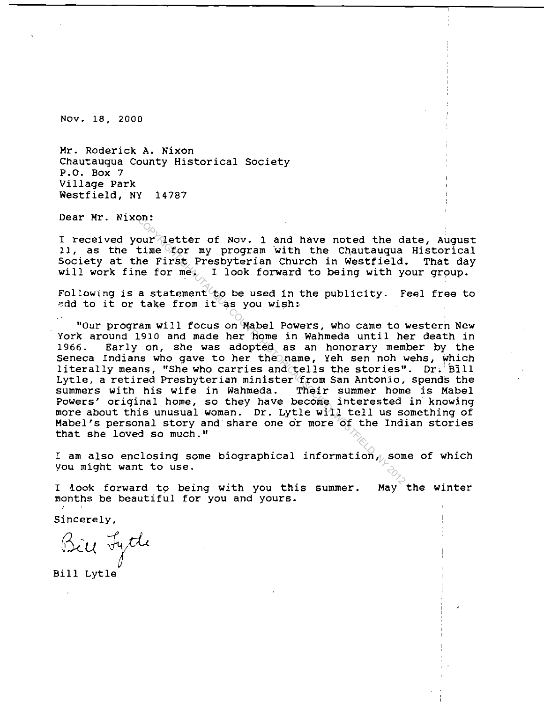Nov. 18, 2000

Hr. Roderick A. Nixon Chautauqua County Historical Society P.O. Box 7 Village Park Westfield, NY 14787

Dear Hr. Nixon:

I received your letter of Nov. 1 and have noted the date, August 11, as the time for my program with the Chautauqua Historical Society at the First Presbyterian Church in Westfield. That day will work fine for  $m \tilde{e}_i$ . I look forward to being with your group.

Following is a statement to be used in the publicity. Feel free to add to it or take from it as you wish:

"Our program will focus on Mabel Powers, who came to western New York around 1910 and made her home in Wahmeda until her death in<br>1966. Early on, she was adopted as an honorary member by the Early on, she was adopted as an honorary member by the Seneca Indians who gave to her the name, Yeh sen noh wehs, which literally means, "She who carries and tells the stories".  $Dr.$  BIll Lytle, a retired Presbyterian minister from San Antonio, spends the<br>summers with his wife in Wahmeda. Their summer home is Mabel summers with his wife in Wahmeda. Powers' original home, so they have become interested in' knowing more about this unusual woman. Dr. Lytle with tell us something of Habel's personal story and share one or more of the Indian stories that she loved so much." Controllation of Nov. 1 and have noted the d<br>time for my program with the Chautauqua<br>he First Presbyterian Church in Westfield<br>ne for mez, I look forward to being with y<br>a statement to be used in the publicity. F<br>take from

I am also enclosing some biographical information, some of which you might want to use.

I look forward to being with you this summer. months be beautiful for you and yours. May the winter

Sincerely,

Bill Fyth

Bill Lytle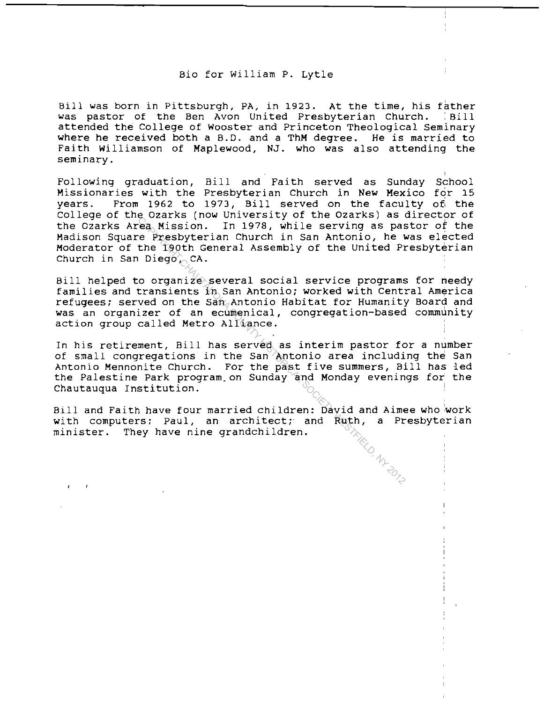#### Bio for William P. Lytle

Bill was born in Pittsburgh, PA, in 1923. At the time, his father was pastor of the Ben Avon United Presbyterian Church. : Bill attended the College of Wooster and Princeton Theological Seminary where he received both <sup>a</sup> B.D. and <sup>a</sup> ThM degree. He is married to Faith Williamson of Maplewood, NJ. who was also attending the seminary.

Following graduation, Bill and Faith served as Sunday School Missionaries with the Presbyterian Church in New Mexico for 15 years. From 1962 to 1973, Bill served on the faculty of the college of the Ozarks (now University of the Ozarks) as director of the Ozarks Area Mission. In 1978, while serving as pastor of the Madison Square Presbyterian Church in San Antonio, he was elected Moderator of the 190th General Assembly of the united Presbyterian Church in San Diego, CA.

Bill helped to organize several social service programs for needy families and transients in San Antonio; worked with Central America<br>refugees; served on the San Antonio Habitat for Humanity Board and was an organizer of an ecumenical, congregation-based community action group called Metro Alliance.

In his retirement, Bill has served as interim pastor for a number of small congregations in the San Antonio area including the San Antonio Mennonite Church. For the past five summers, Bill has led the Palestine Park program.on Sunday and Monday evenings for the Chautauqua Institution. County while serving as passes (each in 1978, while serving as passes in the fighth General Assembly of the United Property Diego (CA.<br>
coordinate Serving as passes of the United Property Diego (CA.<br>
coordinate Supering S

Bill and Faith have four married children: David and Aimee who work with computers; Paul, an architect; and Ruth, a Presbyterian<br>minister. They have nine grandchildren. minister. They have nine grandchildren.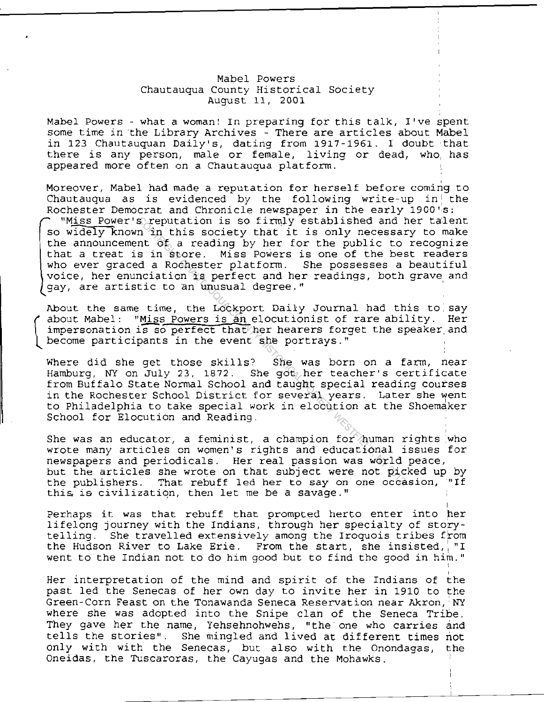### Mabel Powers Chautauqua County Historical Society August 11, 2001

Mabel Powers - what <sup>a</sup> woman! In preparing for this talk, I've spent some time in the Library Archives - There are articles about Mabel in 123 Chautauquan Daily's, dating from 1917-1961. I doubt that there is any person, male or female, living or dead, who, has appeared more often on a Chautauqua platform.

Moreover, Mabel had made a reputation for herself before coming to Chautauqua as is evidenced by the following write-up in the Rochester Democrat and Chronicle newspaper in the early 1900 "S:

"Miss Power's reputation is so firmly established and her talent so widely known in this society that it is only necessary to make the announcement of a reading by her for the public to recognize that <sup>a</sup> treat is in store. Miss Powers is one of the best readers who ever graced a Rochester platform. She possesses a beautiful voice, her enunciation is perfect and her readings, both grave and gay, are artistic to an unusual degree." ' Speputation is so firmly established and 1<br>
The this society that it is only necessar<br>
Int of a reading by her for the public to<br>
sin Store. Miss Powers is one of the best<br>
da Rochester platform. She possesses a<br>
mointic t

About the same time, the Lockport Daily Journal had this to say about Mabel: "Miss Powers is an elocutionist of rare ability. Her impersonation is so perfect that her hearers forget the speaker and become participants in the event she portrays."

 $\left(\begin{array}{c} 1 \\ 1 \end{array}\right)$ 

Where did she get those skills? She was born on <sup>a</sup> farm, near Hamburg, NY on July 23, 1872. She got, her teacher's certificate from Buffalo State Normal School and taught special reading courses in the Rochester School District for several years. Later she went to Philadelphia to take special work in elocution at the Shoemaker School for Elocution and Reading.

She was an educator, a feminist, a champion for human rights who wrote many articles on women's rights and educational issues for newspapers and periodicals. Her real passion was world peace, but the articles she wrote on that subject were not picked up by the publishers. That rebuff led her to say on one occasion, "If this, is civilization, then let me be a savage."

Perhaps it was that rebuff that prompted herto enter into her lifelong journey with the Indians, through her specialty of storytelling. She travelled extensively among the Iroquois tribes from<br>the Hudson River to Lake Erie. From the start, she insisted, "I From the start, she insisted, "I went to the Indian not to do him good but to find the good in him."

Her interpretation of the mind and spirit of the Indians of the past led the Senecas of her own day to invite her in 1910 to the Green-Corn Feast on the Tonawanda Seneca Reservation near Akron, NY where she was adopted into the Snipe clan of the Seneca Tribe. They gave her the name, Yehsehnohwehs, "the' one who carries and tells the stories". She mingled and lived at different times not only with with the Senecas, but also with the Onondagas, the Oneidas, the Tuscaroras, the Cayugas and the Mohawks.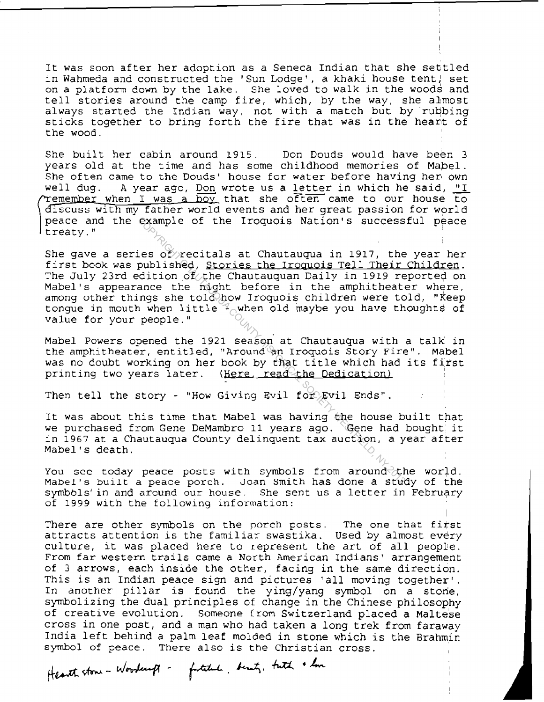It was soon after her adoption as <sup>a</sup> Seneca Indian that she settled in Wahmeda and constructed the 'Sun Lodge', a khaki house tent) set on a platform down by the lake. She loved to walk in the woods and tell stories around the camp fire, which, by the way, she almost always started the Indian way, not with a match but by rubbing sticks together to bring forth the fire that was in the heart of the wood.

She built her cabin around 1915. Don Douds would have been 3 years old at the time and has some childhood memories of Mabel. She often came to the Douds' house for water before having her own<br>well dug. A year ago, Don wrote us a letter in which he said, "I A year ago, Don wrote us a letter in which he said,  $\underline{''I}$ remember when I was a boy that she often came to our house to discuss with my father world events and her great passion for world peace and the example of the Iroquois Nation's successful peace  $\sum_{i=1}^{n}$  the case of the sequence measure of  $\sum_{i=1}^{n}$ 

She gave a series of recitals at Chautauqua in 1917, the year her first book was published, Stories the Iroquois Tell Their Children. The July 23rd edition of the Chautauquan Daily in 1919 reported on Mabel's appearance the night before in the amphitheater where, among other things she told how Iroquois children were told, "Keep tongue in mouth when little  $\mathcal{P}_{\cap}$ when old maybe you have thoughts of value for your people." example of the Iroquois Nation's success<br>
Convertitals at Chautauqua in 1917, the<br>
published, Stories the Iroquois Tell Their<br>
dition of the Chautauquan Daily in 1919 re<br>
ance the night before in the amplitheatt<br>
ny maps s

Mabel Powers opened the 1921 season at Chautauqua with a talk in the amphitheater, entitled, "Around an Iroquois Story Fire". Mabel was no doubt working on her book by that title which had its first printing two years later. (Here, read the Dedication)

Then tell the story - "How Giving Evil for Evil Ends".

It was about this time that Mabel was having the house built that we purchased from Gene DeMambro 11 years ago. Gene had bought it in 1967 at a Chautauqua County delinquent tax auction, a year after Mabel's death.

You see today peace posts with symbols from around the world. Mabel's built <sup>a</sup> peace porch. Joan Smith has done a study of the symbols' in and around our house. She sent us a letter in February of 1999 with the following information:

There are other symbols on the porch posts. The one that first attracts attention is the familiar swastika. Used by almost every culture, it was placed here to represent the art of all people. From far western trails came <sup>a</sup> North American Indians' arrangement of 3 arrows, each inside the other, facing *in* the same direction. This is an Indian peace sign and pictures 'all moving together'. In another pillar is found the *ying/yang* symbol on a storie, symbolizing the dual principles of change in the Chinese philosophy of creative evolution. Someone from Switzerland placed a Maltese cross in one post, and a man who had taken a long trek from faraway India left behind <sup>a</sup> palm leaf molded in stone which is the Brahmin symbol of peace. There also is the Christian cross.

Hearth stone - Woodcast - futitule, bent, buth + how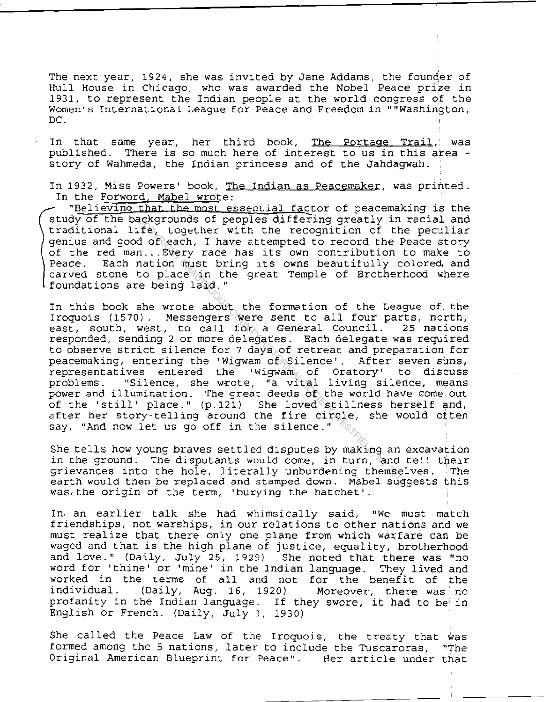The next year, 1924, she was invited by Jane Addams, the founder of Hull House in Chicago, who was awarded the Nobel Peace prize in 1931, to represent the Indian people at the world congress of the Women's International League for Peace and Freedom in ""Washington, DC.

In that same year, her third book, published. There is so much here of interest to us in this area story of Wahmeda, the Indian princess and of the Jahdagwah. The Portage Trail, was

In 1932, Miss Powers' book, The Indian as Peacemaker, was printed. In the Forword, Mabel wrote:

"Believing that the most essential factor of peacemaking is the study of the backgrounds of peoples djffering greatly in racial and traditional life, together with the recognition of the peculiar genius and good of each, I have attempted to record the Peace story of the red man... Every race has its own contribution to make to Peace. Each nation must bring its owns beautifully colored and Each nation must bring its owns beautifully colored, and carved stone to place  $\lambda$ in the great Temple of Brotherhood where foundations are being laid."

In this book she wrote about the formation of the League of the Iroquois (1570). Messengers were sent to all four parts, north,<br>east. south, west, to call for a General Council. 25 nations east, south, west, to call for a General Council. responded, sending 2 or more delegates. Each delegate was required to observe strict silence for <sup>7</sup> days of retreat and preparation' for peacemaking, entering the 'Wigwam of Silence'. After seven suns,<br>representatives entered the 'Wigwam of Oratory' to discuss representatives entered the 'Wigwam of Oratory'<br>problems. "Silence, she wrote, "a vital living si "Silence, she wrote, "a vital living silence, means power and illumination. The great deeds  $\delta f$  the world have come out of the 'still' place."  $(p.12i)$  She loved stillness herself and, after her story-telling around the fire circle, she would often say, "And now let us go off in the silence." Ackgrounds of peoples duffering greatly in<br>
If  $\phi$  together with the recognition of the<br>
n...Every race has its own contribution to<br>
nation must bring its owns beautifully co<br>
place  $\phi$  in the great Temple of Brother'<br>
e

She tells how young braves settled disputes by making an excavation in the ground. The disputants would come, in turn, and tell their grievances into the hole, literally unburdening themselves. The earth would then be replaced and stamped down. Mabel suggests this was, the origin of the term, 'burying the hatchet' .

In, an earlier talk she had Whimsically said, "We must match friendships, not warships, in our relations to other nations and we must realize that there only one plane from which warfare can be waged and that is the high plane of justice, equality. brotherhood and love." (Daily, July 25, 1929) She noted that there was "no word for 'thine' or 'mine' in the Indian language. They lived and worked in the terms of all and not for the benefit of the individual. (Daily, Aug. 16, 1920) Moreover, there was no  $(Daily, Aug. 16, 1920)$ profanity in the Indian language. If they swore. it had to be' in English or French. (Daily, July 1, 1930)

She called the Peace Law of the Iroquois, the treaty that was formed among the <sup>5</sup> nations, later to include the Tuscaroras, "The Original American Blueprint for Peace". Her article under that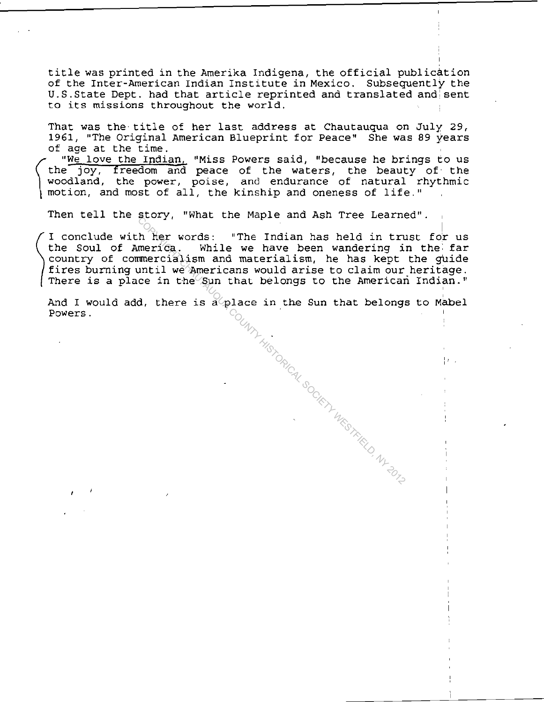title was printed in the Amerika Indigena, the official publication of the Inter-American Indian Institute in Mexico. Subsequently the U.S.State Dept. had that article reprinted and translated and: sent to its missions throughout the world.

That was the title of her last address at Chautauqua on July 29, 1961, "The Original American Blueprint for Peace" She was 89 years of age at the time.

 $\left\{\begin{array}{c}\n\text{th}\n\text{1} \\
\text{woc}\n\text{1}\n\end{array}\right.$ "We love the Indian, "Miss Powers said, "because he brings to us the joy, freedom and peace of the waters, the beauty of the woodland, the power, poise, and endurance of natural rhythmic motion, and most of all, the kinship and oneness of life."

Then tell the story, "What the Maple and Ash Tree Learned".<br>
I conclude with her words: "The Indian has held in trust for us<br>
the soul of America. While we have been wandering in the sine<br>
country of commercialism and mate

Powers.